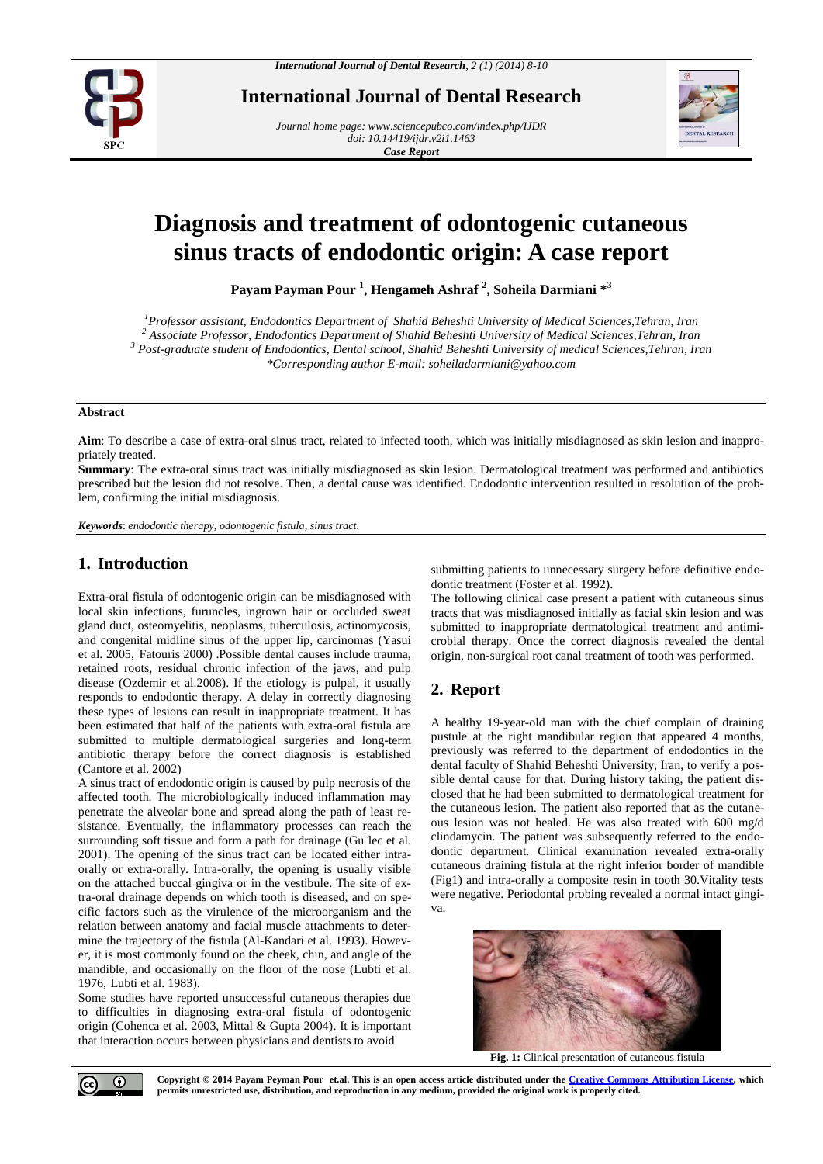

**International Journal of Dental Research**

*Journal home page[: www.sciencepubco.com/index.php/IJDR](http://www.sciencepubco.com/index.php/IJDR) doi: 10.14419/ijdr.v2i1.1463 Case Report*



# **Diagnosis and treatment of odontogenic cutaneous sinus tracts of endodontic origin: A case report**

**Payam Payman Pour <sup>1</sup> , Hengameh Ashraf <sup>2</sup> , Soheila Darmiani \*<sup>3</sup>**

*Professor assistant, Endodontics Department of Shahid Beheshti University of Medical Sciences,Tehran, Iran Associate Professor, Endodontics Department of Shahid Beheshti University of Medical Sciences,Tehran, Iran Post-graduate student of Endodontics, Dental school, Shahid Beheshti University of medical Sciences,Tehran, Iran \*Corresponding author E-mail: soheiladarmiani@yahoo.com*

#### **Abstract**

**Aim**: To describe a case of extra-oral sinus tract, related to infected tooth, which was initially misdiagnosed as skin lesion and inappropriately treated.

**Summary**: The extra-oral sinus tract was initially misdiagnosed as skin lesion. Dermatological treatment was performed and antibiotics prescribed but the lesion did not resolve. Then, a dental cause was identified. Endodontic intervention resulted in resolution of the problem, confirming the initial misdiagnosis.

*Keywords*: *endodontic therapy, odontogenic fistula, sinus tract.*

## **1. Introduction**

Extra-oral fistula of odontogenic origin can be misdiagnosed with local skin infections, furuncles, ingrown hair or occluded sweat gland duct, osteomyelitis, neoplasms, tuberculosis, actinomycosis, and congenital midline sinus of the upper lip, carcinomas (Yasui et al. 2005, Fatouris 2000) .Possible dental causes include trauma, retained roots, residual chronic infection of the jaws, and pulp disease (Ozdemir et al.2008). If the etiology is pulpal, it usually responds to endodontic therapy. A delay in correctly diagnosing these types of lesions can result in inappropriate treatment. It has been estimated that half of the patients with extra-oral fistula are submitted to multiple dermatological surgeries and long-term antibiotic therapy before the correct diagnosis is established (Cantore et al. 2002)

A sinus tract of endodontic origin is caused by pulp necrosis of the affected tooth. The microbiologically induced inflammation may penetrate the alveolar bone and spread along the path of least resistance. Eventually, the inflammatory processes can reach the surrounding soft tissue and form a path for drainage (Gu¨lec et al. 2001). The opening of the sinus tract can be located either intraorally or extra-orally. Intra-orally, the opening is usually visible on the attached buccal gingiva or in the vestibule. The site of extra-oral drainage depends on which tooth is diseased, and on specific factors such as the virulence of the microorganism and the relation between anatomy and facial muscle attachments to determine the trajectory of the fistula (Al-Kandari et al. 1993). However, it is most commonly found on the cheek, chin, and angle of the mandible, and occasionally on the floor of the nose (Lubti et al. 1976, Lubti et al. 1983).

Some studies have reported unsuccessful cutaneous therapies due to difficulties in diagnosing extra-oral fistula of odontogenic origin (Cohenca et al. 2003, Mittal & Gupta 2004). It is important that interaction occurs between physicians and dentists to avoid

submitting patients to unnecessary surgery before definitive endodontic treatment (Foster et al. 1992).

The following clinical case present a patient with cutaneous sinus tracts that was misdiagnosed initially as facial skin lesion and was submitted to inappropriate dermatological treatment and antimicrobial therapy. Once the correct diagnosis revealed the dental origin, non-surgical root canal treatment of tooth was performed.

# **2. Report**

A healthy 19-year-old man with the chief complain of draining pustule at the right mandibular region that appeared 4 months, previously was referred to the department of endodontics in the dental faculty of Shahid Beheshti University, Iran, to verify a possible dental cause for that. During history taking, the patient disclosed that he had been submitted to dermatological treatment for the cutaneous lesion. The patient also reported that as the cutaneous lesion was not healed. He was also treated with 600 mg/d clindamycin. The patient was subsequently referred to the endodontic department. Clinical examination revealed extra-orally cutaneous draining fistula at the right inferior border of mandible (Fig1) and intra-orally a composite resin in tooth 30.Vitality tests were negative. Periodontal probing revealed a normal intact gingiva.



**Fig. 1:** Clinical presentation of cutaneous fistula

**Copyright © 2014 Payam Peyman Pour et.al. This is an open access article distributed under the Creative Commons Attribution License, which permits unrestricted use, distribution, and reproduction in any medium, provided the original work is properly cited.**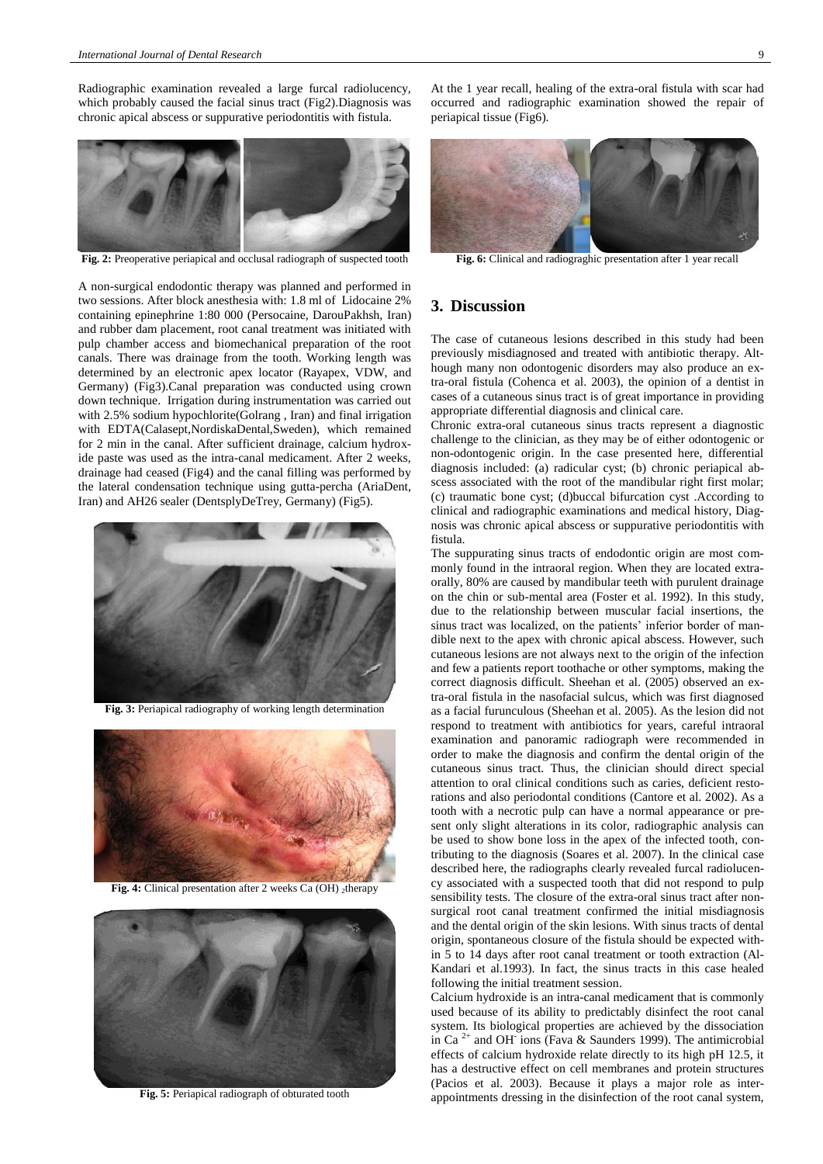Radiographic examination revealed a large furcal radiolucency, which probably caused the facial sinus tract (Fig2).Diagnosis was chronic apical abscess or suppurative periodontitis with fistula.



**Fig. 2:** Preoperative periapical and occlusal radiograph of suspected tooth

A non-surgical endodontic therapy was planned and performed in two sessions. After block anesthesia with: 1.8 ml of Lidocaine 2% containing epinephrine 1:80 000 (Persocaine, DarouPakhsh, Iran) and rubber dam placement, root canal treatment was initiated with pulp chamber access and biomechanical preparation of the root canals. There was drainage from the tooth. Working length was determined by an electronic apex locator (Rayapex, VDW, and Germany) (Fig3).Canal preparation was conducted using crown down technique. Irrigation during instrumentation was carried out with 2.5% sodium hypochlorite(Golrang , Iran) and final irrigation with EDTA(Calasept,NordiskaDental,Sweden), which remained for 2 min in the canal. After sufficient drainage, calcium hydroxide paste was used as the intra-canal medicament. After 2 weeks, drainage had ceased (Fig4) and the canal filling was performed by the lateral condensation technique using gutta-percha (AriaDent, Iran) and AH26 sealer (DentsplyDeTrey, Germany) (Fig5).



**Fig. 3:** Periapical radiography of working length determination



**Fig. 4:** Clinical presentation after 2 weeks Ca (OH) 2therapy



**Fig. 5:** Periapical radiograph of obturated tooth

At the 1 year recall, healing of the extra-oral fistula with scar had occurred and radiographic examination showed the repair of periapical tissue (Fig6).



**Fig. 6:** Clinical and radiograghic presentation after 1 year recall

## **3. Discussion**

The case of cutaneous lesions described in this study had been previously misdiagnosed and treated with antibiotic therapy. Although many non odontogenic disorders may also produce an extra-oral fistula (Cohenca et al. 2003), the opinion of a dentist in cases of a cutaneous sinus tract is of great importance in providing appropriate differential diagnosis and clinical care.

Chronic extra-oral cutaneous sinus tracts represent a diagnostic challenge to the clinician, as they may be of either odontogenic or non-odontogenic origin. In the case presented here, differential diagnosis included: (a) radicular cyst; (b) chronic periapical abscess associated with the root of the mandibular right first molar; (c) traumatic bone cyst; (d)buccal bifurcation cyst .According to clinical and radiographic examinations and medical history, Diagnosis was chronic apical abscess or suppurative periodontitis with fistula.

The suppurating sinus tracts of endodontic origin are most commonly found in the intraoral region. When they are located extraorally, 80% are caused by mandibular teeth with purulent drainage on the chin or sub-mental area (Foster et al. 1992). In this study, due to the relationship between muscular facial insertions, the sinus tract was localized, on the patients' inferior border of mandible next to the apex with chronic apical abscess. However, such cutaneous lesions are not always next to the origin of the infection and few a patients report toothache or other symptoms, making the correct diagnosis difficult. Sheehan et al. (2005) observed an extra-oral fistula in the nasofacial sulcus, which was first diagnosed as a facial furunculous (Sheehan et al. 2005). As the lesion did not respond to treatment with antibiotics for years, careful intraoral examination and panoramic radiograph were recommended in order to make the diagnosis and confirm the dental origin of the cutaneous sinus tract. Thus, the clinician should direct special attention to oral clinical conditions such as caries, deficient restorations and also periodontal conditions (Cantore et al. 2002). As a tooth with a necrotic pulp can have a normal appearance or present only slight alterations in its color, radiographic analysis can be used to show bone loss in the apex of the infected tooth, contributing to the diagnosis (Soares et al. 2007). In the clinical case described here, the radiographs clearly revealed furcal radiolucency associated with a suspected tooth that did not respond to pulp sensibility tests. The closure of the extra-oral sinus tract after nonsurgical root canal treatment confirmed the initial misdiagnosis and the dental origin of the skin lesions. With sinus tracts of dental origin, spontaneous closure of the fistula should be expected within 5 to 14 days after root canal treatment or tooth extraction (Al-Kandari et al.1993). In fact, the sinus tracts in this case healed following the initial treatment session.

Calcium hydroxide is an intra-canal medicament that is commonly used because of its ability to predictably disinfect the root canal system. Its biological properties are achieved by the dissociation in Ca 2+ and OH-ions (Fava & Saunders 1999). The antimicrobial effects of calcium hydroxide relate directly to its high pH 12.5, it has a destructive effect on cell membranes and protein structures (Pacios et al. 2003). Because it plays a major role as interappointments dressing in the disinfection of the root canal system,